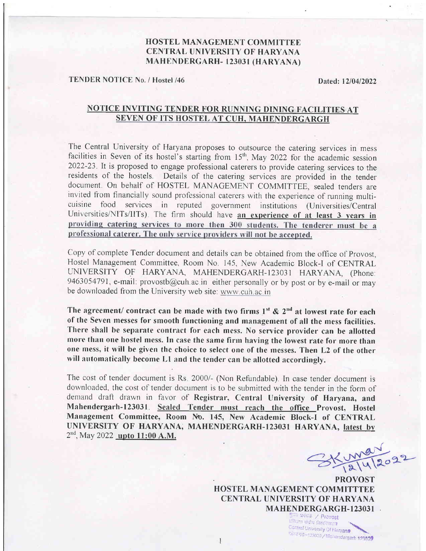## HOSTEL MANAGEMENT COMMITTEE CENTRAL UNIVERSITY OF HARYANA MAHENDERGARH- 123031 (HARYANA)

#### l'ENDER NOTICE No. / Hostel/46 Dated: <sup>1210412022</sup>

# NOTICE INVITING TENDER FOR RUNNING DINING FACILITIES AT SEVEN OF ITS HOSTEL AT CUH, MAHENDERGARGH

The Central University of Haryana proposes to outsource the catering services in mess facilities in Seven of its hostel's starting from  $15<sup>th</sup>$ , May 2022 for the academic session 2022-23. It is proposed to engage professional caterers to provide catering services to the residents of the hostels. Details of the catering services are provided in the tender document. On behalf of HOSTEL MANAGEMENT COMMITTEE, sealed tenders are invited from financially sound professional caterers with the experience of running multicuisine food services in reputed government institutions (Universities/Central Universities/NITs/IITs). The firm should have an experience of at least 3 years in providing catering services to more then 300 students. The tenderer must be a professional caterer. The only service providers will not be accepted.

Copy of complete Tender document and details can be obtained fiom the office of Provost, Hostel Management Committee, Room No. 145, New Academic Block-I of CENTRAL UNIVERSITY OF HARYANA, MAHENDERGARH-123031 HARYANA, (Phone: 9463054791, e-mail: provostb $@$ cuh.ac in either personally or by post or by e-mail or may be downloaded from the University web site: www.cuh.ac in

The agreement/ contract can be made with two firms  $1<sup>st</sup>$  &  $2<sup>nd</sup>$  at lowest rate for each of the Seven messes for smooth functioning and management of all the mess facilities.<br>There shall be separate contract for each mess. No service provider can be allotted more than one hostel mess. In case the same firm having the lowest rate for more than one mess, it will be given the choice to select one of the messes. Then L2 of the other will automatically become L1 and the tender can be allotted accordingly.

The cost of tender document is Rs 2000/- (Non Refundable). In case tender document is downloaded, the cost of tender document is to be submitted with the tender in the form of demand draft drawn in favor of Registrar, Central University of Haryana, and Mahendergarh-123031. Sealed Tender must reach the office Provost, Hostel Management Committee, Room No. 145, New Academic Block-I of CENTRAL UNIVERSITY OF HARYANA, MAHENDERGARH-123031 HARYANA, latest by  $2<sup>nd</sup>$ , May 2022 upto 11:00 A.M.

SKimar<br>PRI4/2022

HOSTEL MANAGEMENT COMMITTTEE CENTRAL UNIVERSITY OF HARYANA MAHENDERGARGH-123031

;<br>. ct'os a <del>tha</del>in tany tanàn Central University Of Ha r 'e van de l'13905 / Mahendargerh 123025<br>1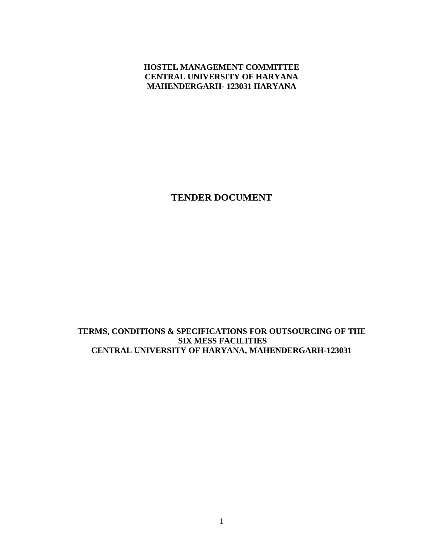# **HOSTEL MANAGEMENT COMMITTEE CENTRAL UNIVERSITY OF HARYANA MAHENDERGARH- 123031 HARYANA**

**TENDER DOCUMENT**

**TERMS, CONDITIONS & SPECIFICATIONS FOR OUTSOURCING OF THE SIX MESS FACILITIES CENTRAL UNIVERSITY OF HARYANA, MAHENDERGARH-123031**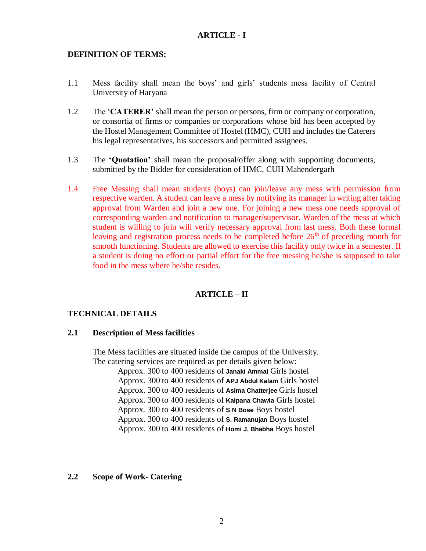## **ARTICLE - I**

## **DEFINITION OF TERMS:**

- 1.1 Mess facility shall mean the boys' and girls' students mess facility of Central University of Haryana
- 1.2 The '**CATERER'** shall mean the person or persons, firm or company or corporation, or consortia of firms or companies or corporations whose bid has been accepted by the Hostel Management Committee of Hostel (HMC), CUH and includes the Caterers his legal representatives, his successors and permitted assignees.
- 1.3 The **'Quotation'** shall mean the proposal/offer along with supporting documents, submitted by the Bidder for consideration of HMC, CUH Mahendergarh
- 1.4 Free Messing shall mean students (boys) can join/leave any mess with permission from respective warden. A student can leave a mess by notifying its manager in writing after taking approval from Warden and join a new one. For joining a new mess one needs approval of corresponding warden and notification to manager/supervisor. Warden of the mess at which student is willing to join will verify necessary approval from last mess. Both these formal leaving and registration process needs to be completed before  $26<sup>th</sup>$  of preceding month for smooth functioning. Students are allowed to exercise this facility only twice in a semester. If a student is doing no effort or partial effort for the free messing he/she is supposed to take food in the mess where he/she resides.

# **ARTICLE – II**

## **TECHNICAL DETAILS**

## **2.1 Description of Mess facilities**

The Mess facilities are situated inside the campus of the University. The catering services are required as per details given below: Approx. 300 to 400 residents of **Janaki Ammal** Girls hostel Approx. 300 to 400 residents of **APJ Abdul Kalam** Girls hostel Approx. 300 to 400 residents of **Asima Chatterjee** Girls hostel Approx. 300 to 400 residents of **Kalpana Chawla** Girls hostel Approx. 300 to 400 residents of **S N Bose** Boys hostel Approx. 300 to 400 residents of **S. Ramanujan** Boys hostel Approx. 300 to 400 residents of **Homi J. Bhabha** Boys hostel

## **2.2 Scope of Work- Catering**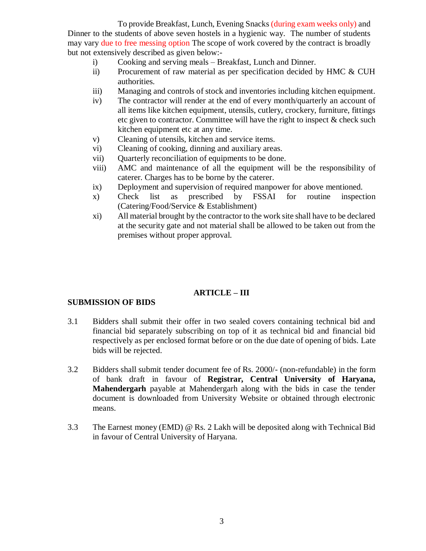To provide Breakfast, Lunch, Evening Snacks (during exam weeks only) and Dinner to the students of above seven hostels in a hygienic way. The number of students may vary due to free messing option The scope of work covered by the contract is broadly but not extensively described as given below:-

- i) Cooking and serving meals Breakfast, Lunch and Dinner.
- ii) Procurement of raw material as per specification decided by HMC & CUH authorities.
- iii) Managing and controls of stock and inventories including kitchen equipment.
- iv) The contractor will render at the end of every month/quarterly an account of all items like kitchen equipment, utensils, cutlery, crockery, furniture, fittings etc given to contractor. Committee will have the right to inspect  $\&$  check such kitchen equipment etc at any time.
- v) Cleaning of utensils, kitchen and service items.
- vi) Cleaning of cooking, dinning and auxiliary areas.
- vii) Quarterly reconciliation of equipments to be done.
- viii) AMC and maintenance of all the equipment will be the responsibility of caterer. Charges has to be borne by the caterer.
- ix) Deployment and supervision of required manpower for above mentioned.
- x) Check list as prescribed by FSSAI for routine inspection (Catering/Food/Service & Establishment)
- xi) All material brought by the contractor to the work site shall have to be declared at the security gate and not material shall be allowed to be taken out from the premises without proper approval.

## **ARTICLE – III**

## **SUBMISSION OF BIDS**

- 3.1 Bidders shall submit their offer in two sealed covers containing technical bid and financial bid separately subscribing on top of it as technical bid and financial bid respectively as per enclosed format before or on the due date of opening of bids. Late bids will be rejected.
- 3.2 Bidders shall submit tender document fee of Rs. 2000/- (non-refundable) in the form of bank draft in favour of **Registrar, Central University of Haryana, Mahendergarh** payable at Mahendergarh along with the bids in case the tender document is downloaded from University Website or obtained through electronic means.
- 3.3 The Earnest money (EMD) @ Rs. 2 Lakh will be deposited along with Technical Bid in favour of Central University of Haryana.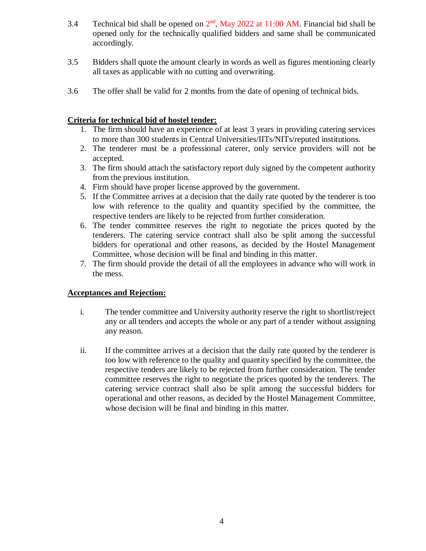- 3.4 Technical bid shall be opened on  $2<sup>nd</sup>$ , May 2022 at 11:00 AM. Financial bid shall be opened only for the technically qualified bidders and same shall be communicated accordingly.
- 3.5 Bidders shall quote the amount clearly in words as well as figures mentioning clearly all taxes as applicable with no cutting and overwriting.
- 3.6 The offer shall be valid for 2 months from the date of opening of technical bids.

# **Criteria for technical bid of hostel tender:**

- 1. The firm should have an experience of at least 3 years in providing catering services to more than 300 students in Central Universities/IITs/NITs/reputed institutions.
- 2. The tenderer must be a professional caterer, only service providers will not be accepted.
- 3. The firm should attach the satisfactory report duly signed by the competent authority from the previous institution.
- 4. Firm should have proper license approved by the government.
- 5. If the Committee arrives at a decision that the daily rate quoted by the tenderer is too low with reference to the quality and quantity specified by the committee, the respective tenders are likely to be rejected from further consideration.
- 6. The tender committee reserves the right to negotiate the prices quoted by the tenderers. The catering service contract shall also be split among the successful bidders for operational and other reasons, as decided by the Hostel Management Committee, whose decision will be final and binding in this matter.
- 7. The firm should provide the detail of all the employees in advance who will work in the mess.

# **Acceptances and Rejection:**

- i. The tender committee and University authority reserve the right to shortlist/reject any or all tenders and accepts the whole or any part of a tender without assigning any reason.
- ii. If the committee arrives at a decision that the daily rate quoted by the tenderer is too low with reference to the quality and quantity specified by the committee, the respective tenders are likely to be rejected from further consideration. The tender committee reserves the right to negotiate the prices quoted by the tenderers. The catering service contract shall also be split among the successful bidders for operational and other reasons, as decided by the Hostel Management Committee, whose decision will be final and binding in this matter.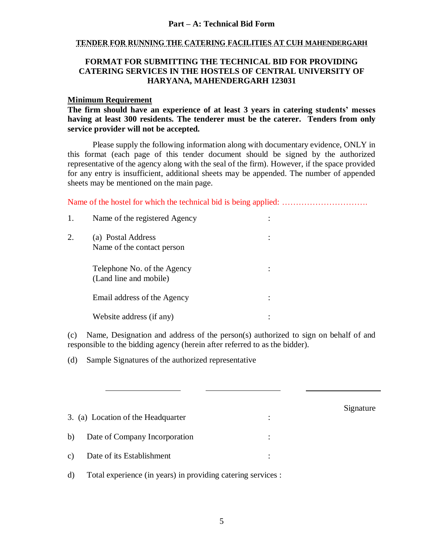## **Part – A: Technical Bid Form**

### **TENDER FOR RUNNING THE CATERING FACILITIES AT CUH MAHENDERGARH**

## **FORMAT FOR SUBMITTING THE TECHNICAL BID FOR PROVIDING CATERING SERVICES IN THE HOSTELS OF CENTRAL UNIVERSITY OF HARYANA, MAHENDERGARH 123031**

#### **Minimum Requirement**

**The firm should have an experience of at least 3 years in catering students' messes having at least 300 residents. The tenderer must be the caterer. Tenders from only service provider will not be accepted.** 

Please supply the following information along with documentary evidence, ONLY in this format (each page of this tender document should be signed by the authorized representative of the agency along with the seal of the firm). However, if the space provided for any entry is insufficient, additional sheets may be appended. The number of appended sheets may be mentioned on the main page.

Name of the hostel for which the technical bid is being applied: ………………………….

| 1. | Name of the registered Agency                         |  |
|----|-------------------------------------------------------|--|
| 2. | (a) Postal Address<br>Name of the contact person      |  |
|    | Telephone No. of the Agency<br>(Land line and mobile) |  |
|    | Email address of the Agency                           |  |
|    | Website address (if any)                              |  |

(c) Name, Designation and address of the person(s) authorized to sign on behalf of and responsible to the bidding agency (herein after referred to as the bidder).

(d) Sample Signatures of the authorized representative

|               | 3. (a) Location of the Headquarter | ٠<br>$\bullet$ | Signature |
|---------------|------------------------------------|----------------|-----------|
| b)            | Date of Company Incorporation      | ٠<br>$\bullet$ |           |
| $\mathbf{c})$ | Date of its Establishment          | ٠              |           |

d) Total experience (in years) in providing catering services :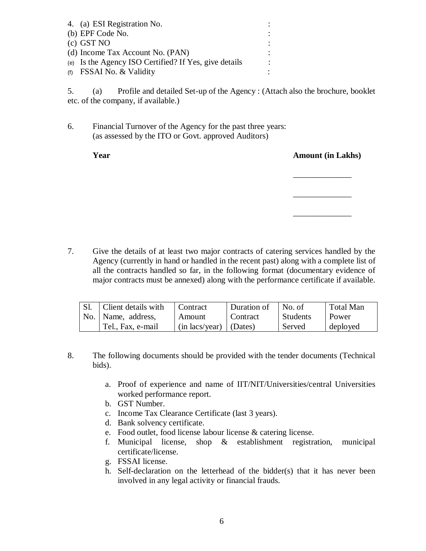| 4. (a) ESI Registration No.                           |  |
|-------------------------------------------------------|--|
| (b) EPF Code No.                                      |  |
| $(c)$ GST NO                                          |  |
| (d) Income Tax Account No. (PAN)                      |  |
| (e) Is the Agency ISO Certified? If Yes, give details |  |
| $(f)$ FSSAI No. & Validity                            |  |

5. (a) Profile and detailed Set-up of the Agency : (Attach also the brochure, booklet etc. of the company, if available.)

 $\mathcal{L}_\mathcal{L}$  , which is a set of the set of the set of the set of the set of the set of the set of the set of the set of the set of the set of the set of the set of the set of the set of the set of the set of the set of

 $\overline{\phantom{a}}$  , and the contract of the contract of the contract of the contract of the contract of the contract of the contract of the contract of the contract of the contract of the contract of the contract of the contrac

6. Financial Turnover of the Agency for the past three years: (as assessed by the ITO or Govt. approved Auditors)

**Year** Amount (in Lakhs)

\_\_\_\_\_\_\_\_\_\_\_\_\_\_

7. Give the details of at least two major contracts of catering services handled by the Agency (currently in hand or handled in the recent past) along with a complete list of all the contracts handled so far, in the following format (documentary evidence of major contracts must be annexed) along with the performance certificate if available.

| SI. | <b>Client details with</b> | Contract                              | Duration of | $\overline{\phantom{a}}$ No. of | Total Man |
|-----|----------------------------|---------------------------------------|-------------|---------------------------------|-----------|
|     | No.   Name, address,       | Amount                                | Contract    | <b>Students</b>                 | Power     |
|     | Tel., Fax, e-mail          | $(in \, \, \text{lacs/year})$ (Dates) |             | Served                          | deployed  |

- 8. The following documents should be provided with the tender documents (Technical bids).
	- a. Proof of experience and name of IIT/NIT/Universities/central Universities worked performance report.
	- b. GST Number.
	- c. Income Tax Clearance Certificate (last 3 years).
	- d. Bank solvency certificate.
	- e. Food outlet, food license labour license & catering license.
	- f. Municipal license, shop & establishment registration, municipal certificate/license.
	- g. FSSAI license.
	- h. Self-declaration on the letterhead of the bidder(s) that it has never been involved in any legal activity or financial frauds.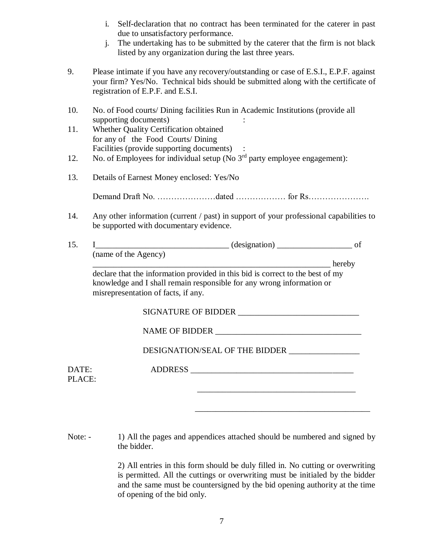- i. Self-declaration that no contract has been terminated for the caterer in past due to unsatisfactory performance.
- j. The undertaking has to be submitted by the caterer that the firm is not black listed by any organization during the last three years.
- 9. Please intimate if you have any recovery/outstanding or case of E.S.I., E.P.F. against your firm? Yes/No. Technical bids should be submitted along with the certificate of registration of E.P.F. and E.S.I.
- 10. No. of Food courts/ Dining facilities Run in Academic Institutions (provide all supporting documents)
- 11. Whether Quality Certification obtained for any of the Food Courts/ Dining Facilities (provide supporting documents) :
- 12. No. of Employees for individual setup (No  $3<sup>rd</sup>$  party employee engagement):
- 13. Details of Earnest Money enclosed: Yes/No

Demand Draft No. …………………dated ……………… for Rs………………….

- 14. Any other information (current / past) in support of your professional capabilities to be supported with documentary evidence.
- 15. I\_\_\_\_\_\_\_\_\_\_\_\_\_\_\_\_\_\_\_\_\_\_\_\_\_\_\_\_\_\_\_\_ (designation) \_\_\_\_\_\_\_\_\_\_\_\_\_\_\_\_\_\_ of (name of the Agency)

 $\hbox{hereby}$ declare that the information provided in this bid is correct to the best of my knowledge and I shall remain responsible for any wrong information or misrepresentation of facts, if any.

SIGNATURE OF BIDDER \_\_\_\_\_\_\_\_\_\_\_\_\_\_\_\_\_\_\_\_\_\_\_\_\_\_\_\_\_

NAME OF BIDDER \_\_\_\_\_\_\_\_\_\_\_\_\_\_\_\_\_\_\_\_\_\_\_\_\_\_\_\_\_\_\_\_\_\_\_

DESIGNATION/SEAL OF THE BIDDER \_\_\_\_\_\_\_\_\_\_\_\_\_\_\_\_\_

PLACE:

DATE: ADDRESS  $\blacksquare$ 

Note: - 1) All the pages and appendices attached should be numbered and signed by the bidder.

> 2) All entries in this form should be duly filled in. No cutting or overwriting is permitted. All the cuttings or overwriting must be initialed by the bidder and the same must be countersigned by the bid opening authority at the time of opening of the bid only.

 $\overline{\phantom{a}}$  ,  $\overline{\phantom{a}}$  ,  $\overline{\phantom{a}}$  ,  $\overline{\phantom{a}}$  ,  $\overline{\phantom{a}}$  ,  $\overline{\phantom{a}}$  ,  $\overline{\phantom{a}}$  ,  $\overline{\phantom{a}}$  ,  $\overline{\phantom{a}}$  ,  $\overline{\phantom{a}}$  ,  $\overline{\phantom{a}}$  ,  $\overline{\phantom{a}}$  ,  $\overline{\phantom{a}}$  ,  $\overline{\phantom{a}}$  ,  $\overline{\phantom{a}}$  ,  $\overline{\phantom{a}}$ 

\_\_\_\_\_\_\_\_\_\_\_\_\_\_\_\_\_\_\_\_\_\_\_\_\_\_\_\_\_\_\_\_\_\_\_\_\_\_\_\_\_\_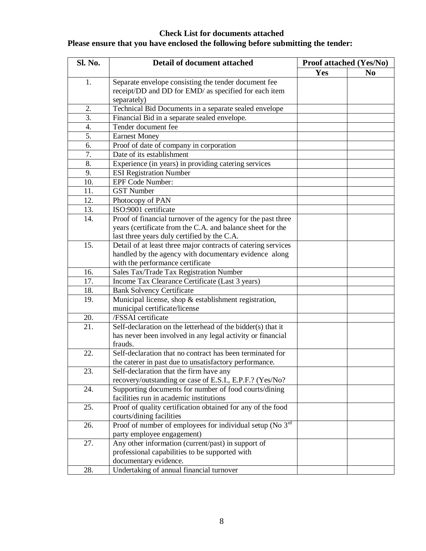# **Check List for documents attached Please ensure that you have enclosed the following before submitting the tender:**

| Sl. No.          | <b>Detail of document attached</b>                                                                   | Proof attached (Yes/No) |                |  |
|------------------|------------------------------------------------------------------------------------------------------|-------------------------|----------------|--|
|                  |                                                                                                      | Yes                     | N <sub>0</sub> |  |
| 1.               | Separate envelope consisting the tender document fee                                                 |                         |                |  |
|                  | receipt/DD and DD for EMD/ as specified for each item                                                |                         |                |  |
|                  | separately)                                                                                          |                         |                |  |
| 2.               | Technical Bid Documents in a separate sealed envelope                                                |                         |                |  |
| 3.               | Financial Bid in a separate sealed envelope.                                                         |                         |                |  |
| $\overline{4}$ . | Tender document fee                                                                                  |                         |                |  |
| 5.               | <b>Earnest Money</b>                                                                                 |                         |                |  |
| 6.               | Proof of date of company in corporation                                                              |                         |                |  |
| 7.               | Date of its establishment                                                                            |                         |                |  |
| 8.               | Experience (in years) in providing catering services                                                 |                         |                |  |
| 9.               | <b>ESI Registration Number</b>                                                                       |                         |                |  |
| 10.              | <b>EPF Code Number:</b>                                                                              |                         |                |  |
| 11.              | <b>GST Number</b>                                                                                    |                         |                |  |
| 12.              | Photocopy of PAN                                                                                     |                         |                |  |
| 13.              | ISO:9001 certificate                                                                                 |                         |                |  |
| 14.              | Proof of financial turnover of the agency for the past three                                         |                         |                |  |
|                  | years (certificate from the C.A. and balance sheet for the                                           |                         |                |  |
|                  | last three years duly certified by the C.A.                                                          |                         |                |  |
| 15.              | Detail of at least three major contracts of catering services                                        |                         |                |  |
|                  | handled by the agency with documentary evidence along                                                |                         |                |  |
|                  | with the performance certificate                                                                     |                         |                |  |
| 16.              | Sales Tax/Trade Tax Registration Number                                                              |                         |                |  |
| 17.              | Income Tax Clearance Certificate (Last 3 years)                                                      |                         |                |  |
| 18.              | <b>Bank Solvency Certificate</b>                                                                     |                         |                |  |
| 19.              | Municipal license, shop & establishment registration,                                                |                         |                |  |
|                  | municipal certificate/license                                                                        |                         |                |  |
| 20.              | /FSSAI certificate                                                                                   |                         |                |  |
| 21.              | Self-declaration on the letterhead of the bidder(s) that it                                          |                         |                |  |
|                  | has never been involved in any legal activity or financial                                           |                         |                |  |
|                  | frauds.                                                                                              |                         |                |  |
| 22.              | Self-declaration that no contract has been terminated for                                            |                         |                |  |
|                  | the caterer in past due to unsatisfactory performance.                                               |                         |                |  |
| 23.              | Self-declaration that the firm have any                                                              |                         |                |  |
|                  | recovery/outstanding or case of E.S.I., E.P.F.? (Yes/No?                                             |                         |                |  |
| 24.              | Supporting documents for number of food courts/dining                                                |                         |                |  |
|                  | facilities run in academic institutions                                                              |                         |                |  |
| 25.              | Proof of quality certification obtained for any of the food                                          |                         |                |  |
|                  | courts/dining facilities                                                                             |                         |                |  |
| 26.              | Proof of number of employees for individual setup (No 3rd                                            |                         |                |  |
|                  | party employee engagement)                                                                           |                         |                |  |
| 27.              | Any other information (current/past) in support of<br>professional capabilities to be supported with |                         |                |  |
|                  | documentary evidence.                                                                                |                         |                |  |
| 28.              | Undertaking of annual financial turnover                                                             |                         |                |  |
|                  |                                                                                                      |                         |                |  |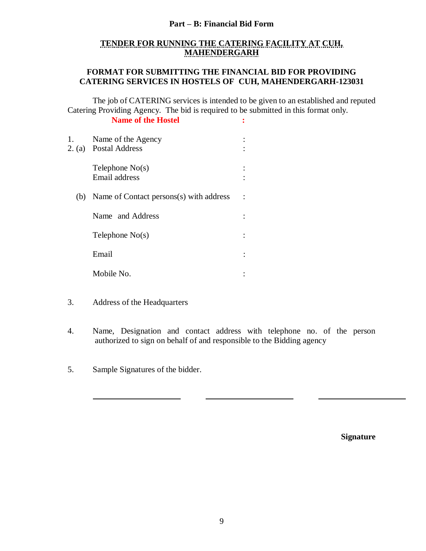## **Part – B: Financial Bid Form**

# **TENDER FOR RUNNING THE CATERING FACILITY AT CUH, MAHENDERGARH**

# **FORMAT FOR SUBMITTING THE FINANCIAL BID FOR PROVIDING CATERING SERVICES IN HOSTELS OF CUH, MAHENDERGARH-123031**

The job of CATERING services is intended to be given to an established and reputed Catering Providing Agency. The bid is required to be submitted in this format only.

|     | <b>Name of the Hostel</b>                   |                      |  |
|-----|---------------------------------------------|----------------------|--|
| 1.  | Name of the Agency<br>2. (a) Postal Address |                      |  |
|     | Telephone $No(s)$<br><b>Email address</b>   |                      |  |
| (b) | Name of Contact persons(s) with address     | $\ddot{\phantom{a}}$ |  |
|     | Name and Address                            |                      |  |
|     | Telephone $No(s)$                           |                      |  |
|     | Email                                       |                      |  |
|     | Mobile No.                                  |                      |  |

- 3. Address of the Headquarters
- 4. Name, Designation and contact address with telephone no. of the person authorized to sign on behalf of and responsible to the Bidding agency

 $\overline{a}$ 

5. Sample Signatures of the bidder.

**Signature**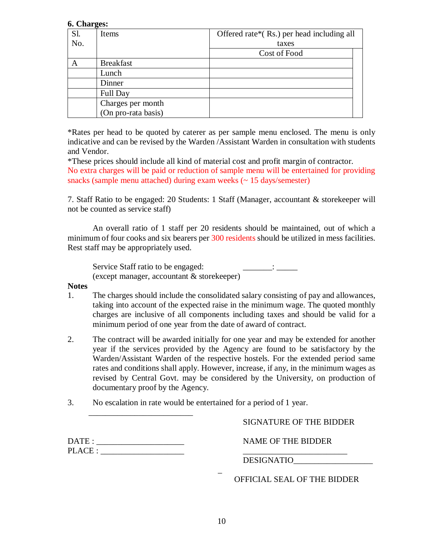#### **6. Charges:**

| Sl. | Items               | Offered rate*(Rs.) per head including all |
|-----|---------------------|-------------------------------------------|
| No. |                     | taxes                                     |
|     |                     | Cost of Food                              |
| A   | <b>Breakfast</b>    |                                           |
|     | Lunch               |                                           |
|     | Dinner              |                                           |
|     | <b>Full Day</b>     |                                           |
|     | Charges per month   |                                           |
|     | (On pro-rata basis) |                                           |

\*Rates per head to be quoted by caterer as per sample menu enclosed. The menu is only indicative and can be revised by the Warden /Assistant Warden in consultation with students and Vendor.

\*These prices should include all kind of material cost and profit margin of contractor.

No extra charges will be paid or reduction of sample menu will be entertained for providing snacks (sample menu attached) during exam weeks  $($   $\sim$  15 days/semester)

7. Staff Ratio to be engaged: 20 Students: 1 Staff (Manager, accountant & storekeeper will not be counted as service staff)

An overall ratio of 1 staff per 20 residents should be maintained, out of which a minimum of four cooks and six bearers per 300 residents should be utilized in mess facilities. Rest staff may be appropriately used.

Service Staff ratio to be engaged: (except manager, accountant & storekeeper)

#### **Notes**

- 1. The charges should include the consolidated salary consisting of pay and allowances, taking into account of the expected raise in the minimum wage. The quoted monthly charges are inclusive of all components including taxes and should be valid for a minimum period of one year from the date of award of contract.
- 2. The contract will be awarded initially for one year and may be extended for another year if the services provided by the Agency are found to be satisfactory by the Warden/Assistant Warden of the respective hostels. For the extended period same rates and conditions shall apply. However, increase, if any, in the minimum wages as revised by Central Govt. may be considered by the University, on production of documentary proof by the Agency.
- 3. No escalation in rate would be entertained for a period of 1 year.

|                                   | SIGNATURE OF THE BIDDER     |
|-----------------------------------|-----------------------------|
| DATE : __________________________ | NAME OF THE BIDDER          |
|                                   | DESIGNATIO                  |
|                                   | OFFICIAL SEAL OF THE BIDDER |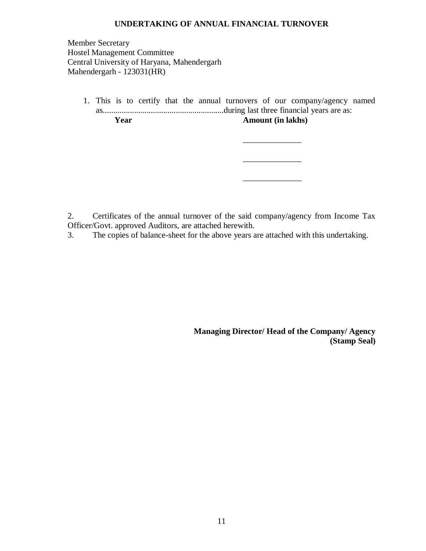# **UNDERTAKING OF ANNUAL FINANCIAL TURNOVER**

Member Secretary Hostel Management Committee Central University of Haryana, Mahendergarh Mahendergarh - 123031(HR)

> 1. This is to certify that the annual turnovers of our company/agency named as..........................................................during last three financial years are as: **Year** Amount (in lakhs)

> > $\mathcal{L}_\text{max}$  and  $\mathcal{L}_\text{max}$  and  $\mathcal{L}_\text{max}$

 $\overline{\phantom{a}}$  , and the contract of the contract of the contract of the contract of the contract of the contract of the contract of the contract of the contract of the contract of the contract of the contract of the contrac

 $\overline{\phantom{a}}$  , and the contract of the contract of the contract of the contract of the contract of the contract of the contract of the contract of the contract of the contract of the contract of the contract of the contrac

2. Certificates of the annual turnover of the said company/agency from Income Tax Officer/Govt. approved Auditors, are attached herewith.

3. The copies of balance-sheet for the above years are attached with this undertaking.

**Managing Director/ Head of the Company/ Agency (Stamp Seal)**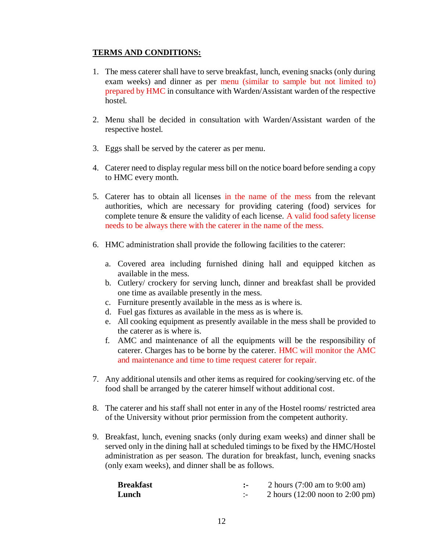# **TERMS AND CONDITIONS:**

- 1. The mess caterer shall have to serve breakfast, lunch, evening snacks (only during exam weeks) and dinner as per menu (similar to sample but not limited to) prepared by HMC in consultance with Warden/Assistant warden of the respective hostel.
- 2. Menu shall be decided in consultation with Warden/Assistant warden of the respective hostel.
- 3. Eggs shall be served by the caterer as per menu.
- 4. Caterer need to display regular mess bill on the notice board before sending a copy to HMC every month.
- 5. Caterer has to obtain all licenses in the name of the mess from the relevant authorities, which are necessary for providing catering (food) services for complete tenure & ensure the validity of each license. A valid food safety license needs to be always there with the caterer in the name of the mess.
- 6. HMC administration shall provide the following facilities to the caterer:
	- a. Covered area including furnished dining hall and equipped kitchen as available in the mess.
	- b. Cutlery/ crockery for serving lunch, dinner and breakfast shall be provided one time as available presently in the mess.
	- c. Furniture presently available in the mess as is where is.
	- d. Fuel gas fixtures as available in the mess as is where is.
	- e. All cooking equipment as presently available in the mess shall be provided to the caterer as is where is.
	- f. AMC and maintenance of all the equipments will be the responsibility of caterer. Charges has to be borne by the caterer. HMC will monitor the AMC and maintenance and time to time request caterer for repair.
- 7. Any additional utensils and other items as required for cooking/serving etc. of the food shall be arranged by the caterer himself without additional cost.
- 8. The caterer and his staff shall not enter in any of the Hostel rooms/ restricted area of the University without prior permission from the competent authority.
- 9. Breakfast, lunch, evening snacks (only during exam weeks) and dinner shall be served only in the dining hall at scheduled timings to be fixed by the HMC/Hostel administration as per season. The duration for breakfast, lunch, evening snacks (only exam weeks), and dinner shall be as follows.

| <b>Breakfast</b> | 2 hours $(7:00 \text{ am to } 9:00 \text{ am})$    |
|------------------|----------------------------------------------------|
| Lunch            | 2 hours $(12:00 \text{ noon to } 2:00 \text{ pm})$ |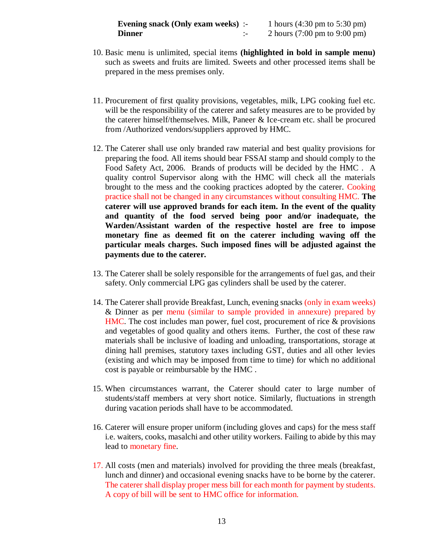**Evening snack (Only exam weeks)** :- 1 hours  $(4:30 \text{ pm to } 5:30 \text{ pm})$ **Dinner** :- 2 hours (7:00 pm to 9:00 pm)

- 10. Basic menu is unlimited, special items **(highlighted in bold in sample menu)** such as sweets and fruits are limited. Sweets and other processed items shall be prepared in the mess premises only.
- 11. Procurement of first quality provisions, vegetables, milk, LPG cooking fuel etc. will be the responsibility of the caterer and safety measures are to be provided by the caterer himself/themselves. Milk, Paneer & Ice-cream etc. shall be procured from /Authorized vendors/suppliers approved by HMC.
- 12. The Caterer shall use only branded raw material and best quality provisions for preparing the food. All items should bear FSSAI stamp and should comply to the Food Safety Act, 2006. Brands of products will be decided by the HMC . A quality control Supervisor along with the HMC will check all the materials brought to the mess and the cooking practices adopted by the caterer. Cooking practice shall not be changed in any circumstances without consulting HMC. **The caterer will use approved brands for each item. In the event of the quality and quantity of the food served being poor and/or inadequate, the Warden/Assistant warden of the respective hostel are free to impose monetary fine as deemed fit on the caterer including waving off the particular meals charges. Such imposed fines will be adjusted against the payments due to the caterer.**
- 13. The Caterer shall be solely responsible for the arrangements of fuel gas, and their safety. Only commercial LPG gas cylinders shall be used by the caterer.
- 14. The Caterer shall provide Breakfast, Lunch, evening snacks (only in exam weeks) & Dinner as per menu (similar to sample provided in annexure) prepared by HMC. The cost includes man power, fuel cost, procurement of rice & provisions and vegetables of good quality and others items. Further, the cost of these raw materials shall be inclusive of loading and unloading, transportations, storage at dining hall premises, statutory taxes including GST, duties and all other levies (existing and which may be imposed from time to time) for which no additional cost is payable or reimbursable by the HMC .
- 15. When circumstances warrant, the Caterer should cater to large number of students/staff members at very short notice. Similarly, fluctuations in strength during vacation periods shall have to be accommodated.
- 16. Caterer will ensure proper uniform (including gloves and caps) for the mess staff i.e. waiters, cooks, masalchi and other utility workers. Failing to abide by this may lead to monetary fine.
- 17. All costs (men and materials) involved for providing the three meals (breakfast, lunch and dinner) and occasional evening snacks have to be borne by the caterer. The caterer shall display proper mess bill for each month for payment by students. A copy of bill will be sent to HMC office for information.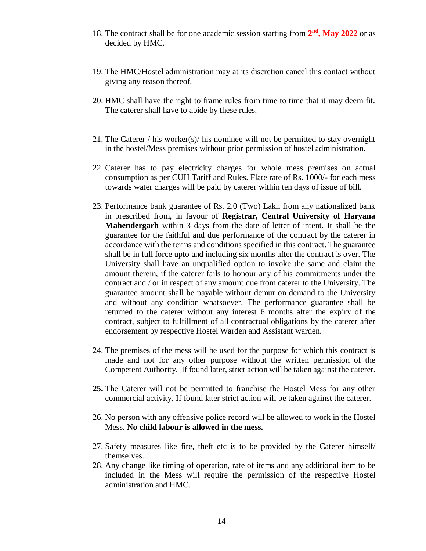- 18. The contract shall be for one academic session starting from  $2<sup>nd</sup>$ , May 2022 or as decided by HMC.
- 19. The HMC/Hostel administration may at its discretion cancel this contact without giving any reason thereof.
- 20. HMC shall have the right to frame rules from time to time that it may deem fit. The caterer shall have to abide by these rules.
- 21. The Caterer / his worker(s)/ his nominee will not be permitted to stay overnight in the hostel/Mess premises without prior permission of hostel administration.
- 22. Caterer has to pay electricity charges for whole mess premises on actual consumption as per CUH Tariff and Rules. Flate rate of Rs. 1000/- for each mess towards water charges will be paid by caterer within ten days of issue of bill.
- 23. Performance bank guarantee of Rs. 2.0 (Two) Lakh from any nationalized bank in prescribed from, in favour of **Registrar, Central University of Haryana Mahendergarh** within 3 days from the date of letter of intent. It shall be the guarantee for the faithful and due performance of the contract by the caterer in accordance with the terms and conditions specified in this contract. The guarantee shall be in full force upto and including six months after the contract is over. The University shall have an unqualified option to invoke the same and claim the amount therein, if the caterer fails to honour any of his commitments under the contract and / or in respect of any amount due from caterer to the University. The guarantee amount shall be payable without demur on demand to the University and without any condition whatsoever. The performance guarantee shall be returned to the caterer without any interest 6 months after the expiry of the contract, subject to fulfillment of all contractual obligations by the caterer after endorsement by respective Hostel Warden and Assistant warden.
- 24. The premises of the mess will be used for the purpose for which this contract is made and not for any other purpose without the written permission of the Competent Authority. If found later, strict action will be taken against the caterer.
- **25.** The Caterer will not be permitted to franchise the Hostel Mess for any other commercial activity. If found later strict action will be taken against the caterer.
- 26. No person with any offensive police record will be allowed to work in the Hostel Mess. **No child labour is allowed in the mess.**
- 27. Safety measures like fire, theft etc is to be provided by the Caterer himself/ themselves.
- 28. Any change like timing of operation, rate of items and any additional item to be included in the Mess will require the permission of the respective Hostel administration and HMC.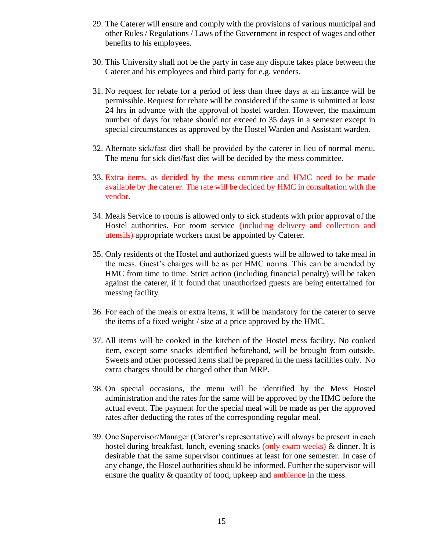- 29. The Caterer will ensure and comply with the provisions of various municipal and other Rules / Regulations / Laws of the Government in respect of wages and other benefits to his employees.
- 30. This University shall not be the party in case any dispute takes place between the Caterer and his employees and third party for e.g. venders.
- 31. No request for rebate for a period of less than three days at an instance will be permissible. Request for rebate will be considered if the same is submitted at least 24 hrs in advance with the approval of hostel warden. However, the maximum number of days for rebate should not exceed to 35 days in a semester except in special circumstances as approved by the Hostel Warden and Assistant warden.
- 32. Alternate sick/fast diet shall be provided by the caterer in lieu of normal menu. The menu for sick diet/fast diet will be decided by the mess committee.
- 33. Extra items, as decided by the mess committee and HMC need to be made available by the caterer. The rate will be decided by HMC in consultation with the vendor.
- 34. Meals Service to rooms is allowed only to sick students with prior approval of the Hostel authorities. For room service (including delivery and collection and utensils) appropriate workers must be appointed by Caterer.
- 35. Only residents of the Hostel and authorized guests will be allowed to take meal in the mess. Guest's charges will be as per HMC norms. This can be amended by HMC from time to time. Strict action (including financial penalty) will be taken against the caterer, if it found that unauthorized guests are being entertained for messing facility.
- 36. For each of the meals or extra items, it will be mandatory for the caterer to serve the items of a fixed weight / size at a price approved by the HMC.
- 37. All items will be cooked in the kitchen of the Hostel mess facility. No cooked item, except some snacks identified beforehand, will be brought from outside. Sweets and other processed items shall be prepared in the mess facilities only. No extra charges should be charged other than MRP.
- 38. On special occasions, the menu will be identified by the Mess Hostel administration and the rates for the same will be approved by the HMC before the actual event. The payment for the special meal will be made as per the approved rates after deducting the rates of the corresponding regular meal.
- 39. One Supervisor/Manager (Caterer's representative) will always be present in each hostel during breakfast, lunch, evening snacks (only exam weeks) & dinner. It is desirable that the same supervisor continues at least for one semester. In case of any change, the Hostel authorities should be informed. Further the supervisor will ensure the quality & quantity of food, upkeep and ambience in the mess.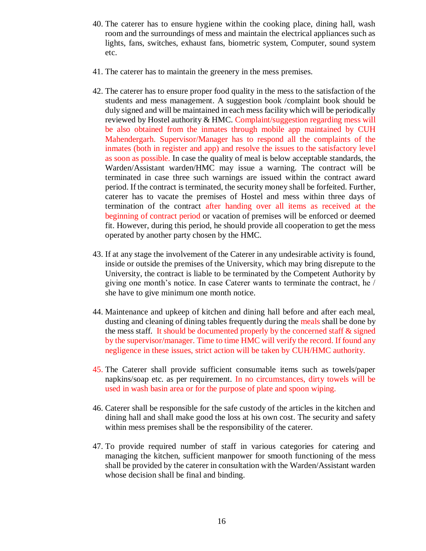- 40. The caterer has to ensure hygiene within the cooking place, dining hall, wash room and the surroundings of mess and maintain the electrical appliances such as lights, fans, switches, exhaust fans, biometric system, Computer, sound system etc.
- 41. The caterer has to maintain the greenery in the mess premises.
- 42. The caterer has to ensure proper food quality in the mess to the satisfaction of the students and mess management. A suggestion book /complaint book should be duly signed and will be maintained in each mess facility which will be periodically reviewed by Hostel authority & HMC. Complaint/suggestion regarding mess will be also obtained from the inmates through mobile app maintained by CUH Mahendergarh. Supervisor/Manager has to respond all the complaints of the inmates (both in register and app) and resolve the issues to the satisfactory level as soon as possible. In case the quality of meal is below acceptable standards, the Warden/Assistant warden/HMC may issue a warning. The contract will be terminated in case three such warnings are issued within the contract award period. If the contract is terminated, the security money shall be forfeited. Further, caterer has to vacate the premises of Hostel and mess within three days of termination of the contract after handing over all items as received at the beginning of contract period or vacation of premises will be enforced or deemed fit. However, during this period, he should provide all cooperation to get the mess operated by another party chosen by the HMC.
- 43. If at any stage the involvement of the Caterer in any undesirable activity is found, inside or outside the premises of the University, which may bring disrepute to the University, the contract is liable to be terminated by the Competent Authority by giving one month's notice. In case Caterer wants to terminate the contract, he / she have to give minimum one month notice.
- 44. Maintenance and upkeep of kitchen and dining hall before and after each meal, dusting and cleaning of dining tables frequently during the meals shall be done by the mess staff. It should be documented properly by the concerned staff  $\&$  signed by the supervisor/manager. Time to time HMC will verify the record. If found any negligence in these issues, strict action will be taken by CUH/HMC authority.
- 45. The Caterer shall provide sufficient consumable items such as towels/paper napkins/soap etc. as per requirement. In no circumstances, dirty towels will be used in wash basin area or for the purpose of plate and spoon wiping.
- 46. Caterer shall be responsible for the safe custody of the articles in the kitchen and dining hall and shall make good the loss at his own cost. The security and safety within mess premises shall be the responsibility of the caterer.
- 47. To provide required number of staff in various categories for catering and managing the kitchen, sufficient manpower for smooth functioning of the mess shall be provided by the caterer in consultation with the Warden/Assistant warden whose decision shall be final and binding.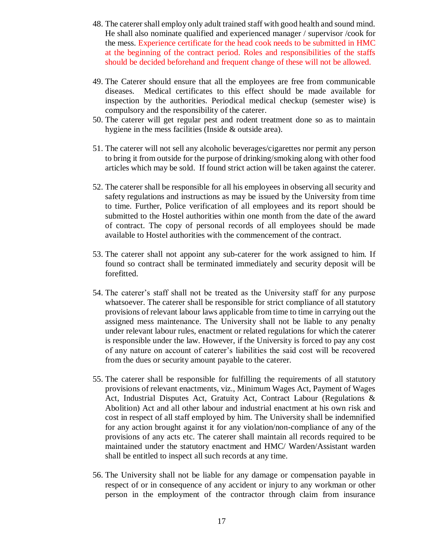- 48. The caterer shall employ only adult trained staff with good health and sound mind. He shall also nominate qualified and experienced manager / supervisor /cook for the mess. Experience certificate for the head cook needs to be submitted in HMC at the beginning of the contract period. Roles and responsibilities of the staffs should be decided beforehand and frequent change of these will not be allowed.
- 49. The Caterer should ensure that all the employees are free from communicable diseases. Medical certificates to this effect should be made available for inspection by the authorities. Periodical medical checkup (semester wise) is compulsory and the responsibility of the caterer.
- 50. The caterer will get regular pest and rodent treatment done so as to maintain hygiene in the mess facilities (Inside & outside area).
- 51. The caterer will not sell any alcoholic beverages/cigarettes nor permit any person to bring it from outside for the purpose of drinking/smoking along with other food articles which may be sold. If found strict action will be taken against the caterer.
- 52. The caterer shall be responsible for all his employees in observing all security and safety regulations and instructions as may be issued by the University from time to time. Further, Police verification of all employees and its report should be submitted to the Hostel authorities within one month from the date of the award of contract. The copy of personal records of all employees should be made available to Hostel authorities with the commencement of the contract.
- 53. The caterer shall not appoint any sub-caterer for the work assigned to him. If found so contract shall be terminated immediately and security deposit will be forefitted.
- 54. The caterer's staff shall not be treated as the University staff for any purpose whatsoever. The caterer shall be responsible for strict compliance of all statutory provisions of relevant labour laws applicable from time to time in carrying out the assigned mess maintenance. The University shall not be liable to any penalty under relevant labour rules, enactment or related regulations for which the caterer is responsible under the law. However, if the University is forced to pay any cost of any nature on account of caterer's liabilities the said cost will be recovered from the dues or security amount payable to the caterer.
- 55. The caterer shall be responsible for fulfilling the requirements of all statutory provisions of relevant enactments, viz., Minimum Wages Act, Payment of Wages Act, Industrial Disputes Act, Gratuity Act, Contract Labour (Regulations & Abolition) Act and all other labour and industrial enactment at his own risk and cost in respect of all staff employed by him. The University shall be indemnified for any action brought against it for any violation/non-compliance of any of the provisions of any acts etc. The caterer shall maintain all records required to be maintained under the statutory enactment and HMC/ Warden/Assistant warden shall be entitled to inspect all such records at any time.
- 56. The University shall not be liable for any damage or compensation payable in respect of or in consequence of any accident or injury to any workman or other person in the employment of the contractor through claim from insurance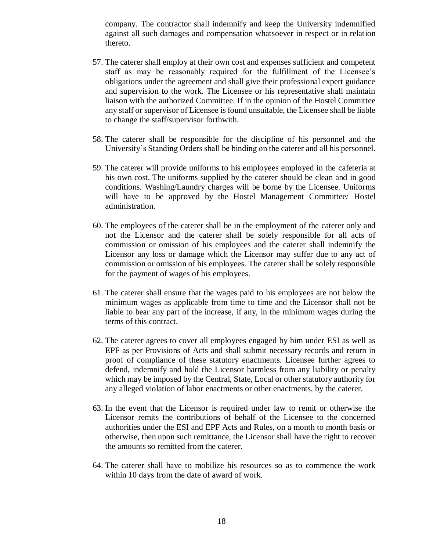company. The contractor shall indemnify and keep the University indemnified against all such damages and compensation whatsoever in respect or in relation thereto.

- 57. The caterer shall employ at their own cost and expenses sufficient and competent staff as may be reasonably required for the fulfillment of the Licensee's obligations under the agreement and shall give their professional expert guidance and supervision to the work. The Licensee or his representative shall maintain liaison with the authorized Committee. If in the opinion of the Hostel Committee any staff or supervisor of Licensee is found unsuitable, the Licensee shall be liable to change the staff/supervisor forthwith.
- 58. The caterer shall be responsible for the discipline of his personnel and the University's Standing Orders shall be binding on the caterer and all his personnel.
- 59. The caterer will provide uniforms to his employees employed in the cafeteria at his own cost. The uniforms supplied by the caterer should be clean and in good conditions. Washing/Laundry charges will be borne by the Licensee. Uniforms will have to be approved by the Hostel Management Committee/ Hostel administration.
- 60. The employees of the caterer shall be in the employment of the caterer only and not the Licensor and the caterer shall be solely responsible for all acts of commission or omission of his employees and the caterer shall indemnify the Licensor any loss or damage which the Licensor may suffer due to any act of commission or omission of his employees. The caterer shall be solely responsible for the payment of wages of his employees.
- 61. The caterer shall ensure that the wages paid to his employees are not below the minimum wages as applicable from time to time and the Licensor shall not be liable to bear any part of the increase, if any, in the minimum wages during the terms of this contract.
- 62. The caterer agrees to cover all employees engaged by him under ESI as well as EPF as per Provisions of Acts and shall submit necessary records and return in proof of compliance of these statutory enactments. Licensee further agrees to defend, indemnify and hold the Licensor harmless from any liability or penalty which may be imposed by the Central, State, Local or other statutory authority for any alleged violation of labor enactments or other enactments, by the caterer.
- 63. In the event that the Licensor is required under law to remit or otherwise the Licensor remits the contributions of behalf of the Licensee to the concerned authorities under the ESI and EPF Acts and Rules, on a month to month basis or otherwise, then upon such remittance, the Licensor shall have the right to recover the amounts so remitted from the caterer.
- 64. The caterer shall have to mobilize his resources so as to commence the work within 10 days from the date of award of work.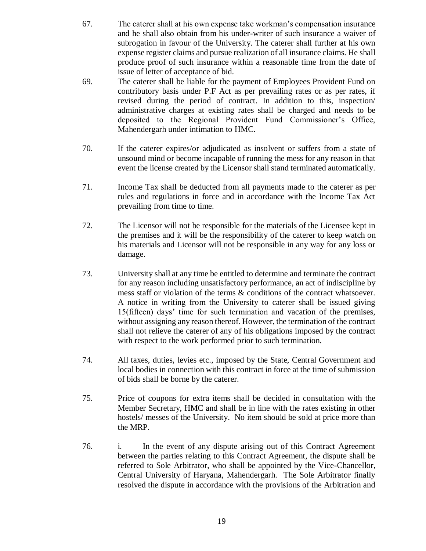- 67. The caterer shall at his own expense take workman's compensation insurance and he shall also obtain from his under-writer of such insurance a waiver of subrogation in favour of the University. The caterer shall further at his own expense register claims and pursue realization of all insurance claims. He shall produce proof of such insurance within a reasonable time from the date of issue of letter of acceptance of bid.
- 69. The caterer shall be liable for the payment of Employees Provident Fund on contributory basis under P.F Act as per prevailing rates or as per rates, if revised during the period of contract. In addition to this, inspection/ administrative charges at existing rates shall be charged and needs to be deposited to the Regional Provident Fund Commissioner's Office, Mahendergarh under intimation to HMC.
- 70. If the caterer expires/or adjudicated as insolvent or suffers from a state of unsound mind or become incapable of running the mess for any reason in that event the license created by the Licensor shall stand terminated automatically.
- 71. Income Tax shall be deducted from all payments made to the caterer as per rules and regulations in force and in accordance with the Income Tax Act prevailing from time to time.
- 72. The Licensor will not be responsible for the materials of the Licensee kept in the premises and it will be the responsibility of the caterer to keep watch on his materials and Licensor will not be responsible in any way for any loss or damage.
- 73. University shall at any time be entitled to determine and terminate the contract for any reason including unsatisfactory performance, an act of indiscipline by mess staff or violation of the terms & conditions of the contract whatsoever. A notice in writing from the University to caterer shall be issued giving 15(fifteen) days' time for such termination and vacation of the premises, without assigning any reason thereof. However, the termination of the contract shall not relieve the caterer of any of his obligations imposed by the contract with respect to the work performed prior to such termination.
- 74. All taxes, duties, levies etc., imposed by the State, Central Government and local bodies in connection with this contract in force at the time of submission of bids shall be borne by the caterer.
- 75. Price of coupons for extra items shall be decided in consultation with the Member Secretary, HMC and shall be in line with the rates existing in other hostels/ messes of the University. No item should be sold at price more than the MRP.
- 76. i. In the event of any dispute arising out of this Contract Agreement between the parties relating to this Contract Agreement, the dispute shall be referred to Sole Arbitrator, who shall be appointed by the Vice-Chancellor, Central University of Haryana, Mahendergarh. The Sole Arbitrator finally resolved the dispute in accordance with the provisions of the Arbitration and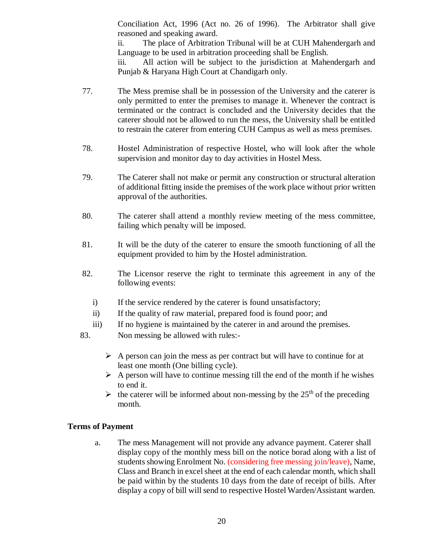Conciliation Act, 1996 (Act no. 26 of 1996). The Arbitrator shall give reasoned and speaking award.

ii. The place of Arbitration Tribunal will be at CUH Mahendergarh and Language to be used in arbitration proceeding shall be English.

iii. All action will be subject to the jurisdiction at Mahendergarh and Punjab & Haryana High Court at Chandigarh only.

- 77. The Mess premise shall be in possession of the University and the caterer is only permitted to enter the premises to manage it. Whenever the contract is terminated or the contract is concluded and the University decides that the caterer should not be allowed to run the mess, the University shall be entitled to restrain the caterer from entering CUH Campus as well as mess premises.
- 78. Hostel Administration of respective Hostel, who will look after the whole supervision and monitor day to day activities in Hostel Mess.
- 79. The Caterer shall not make or permit any construction or structural alteration of additional fitting inside the premises of the work place without prior written approval of the authorities.
- 80. The caterer shall attend a monthly review meeting of the mess committee, failing which penalty will be imposed.
- 81. It will be the duty of the caterer to ensure the smooth functioning of all the equipment provided to him by the Hostel administration.
- 82. The Licensor reserve the right to terminate this agreement in any of the following events:
	- i) If the service rendered by the caterer is found unsatisfactory;
	- ii) If the quality of raw material, prepared food is found poor; and
	- iii) If no hygiene is maintained by the caterer in and around the premises.
- 83. Non messing be allowed with rules:-
	- $\triangleright$  A person can join the mess as per contract but will have to continue for at least one month (One billing cycle).
	- $\triangleright$  A person will have to continue messing till the end of the month if he wishes to end it.
	- $\triangleright$  the caterer will be informed about non-messing by the 25<sup>th</sup> of the preceding month.

# **Terms of Payment**

a. The mess Management will not provide any advance payment. Caterer shall display copy of the monthly mess bill on the notice borad along with a list of students showing Enrolment No. (considering free messing join/leave), Name, Class and Branch in excel sheet at the end of each calendar month, which shall be paid within by the students 10 days from the date of receipt of bills. After display a copy of bill will send to respective Hostel Warden/Assistant warden.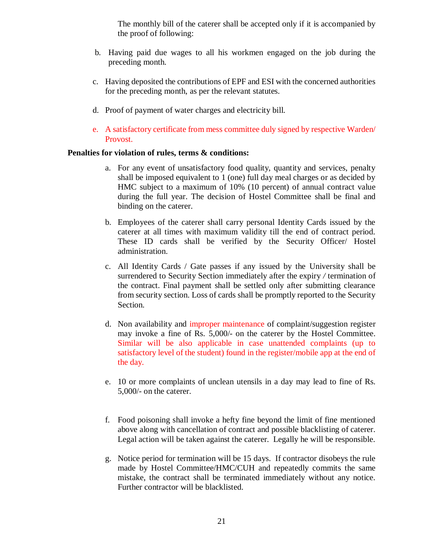The monthly bill of the caterer shall be accepted only if it is accompanied by the proof of following:

- b. Having paid due wages to all his workmen engaged on the job during the preceding month.
- c. Having deposited the contributions of EPF and ESI with the concerned authorities for the preceding month, as per the relevant statutes.
- d. Proof of payment of water charges and electricity bill.
- e. A satisfactory certificate from mess committee duly signed by respective Warden/ Provost.

## **Penalties for violation of rules, terms & conditions:**

- a. For any event of unsatisfactory food quality, quantity and services, penalty shall be imposed equivalent to 1 (one) full day meal charges or as decided by HMC subject to a maximum of 10% (10 percent) of annual contract value during the full year. The decision of Hostel Committee shall be final and binding on the caterer.
- b. Employees of the caterer shall carry personal Identity Cards issued by the caterer at all times with maximum validity till the end of contract period. These ID cards shall be verified by the Security Officer/ Hostel administration.
- c. All Identity Cards / Gate passes if any issued by the University shall be surrendered to Security Section immediately after the expiry */* termination of the contract. Final payment shall be settled only after submitting clearance from security section. Loss of cards shall be promptly reported to the Security Section.
- d. Non availability and improper maintenance of complaint/suggestion register may invoke a fine of Rs. 5,000/- on the caterer by the Hostel Committee. Similar will be also applicable in case unattended complaints (up to satisfactory level of the student) found in the register/mobile app at the end of the day.
- e. 10 or more complaints of unclean utensils in a day may lead to fine of Rs. 5,000/- on the caterer.
- f. Food poisoning shall invoke a hefty fine beyond the limit of fine mentioned above along with cancellation of contract and possible blacklisting of caterer. Legal action will be taken against the caterer. Legally he will be responsible.
- g. Notice period for termination will be 15 days. If contractor disobeys the rule made by Hostel Committee/HMC/CUH and repeatedly commits the same mistake, the contract shall be terminated immediately without any notice. Further contractor will be blacklisted.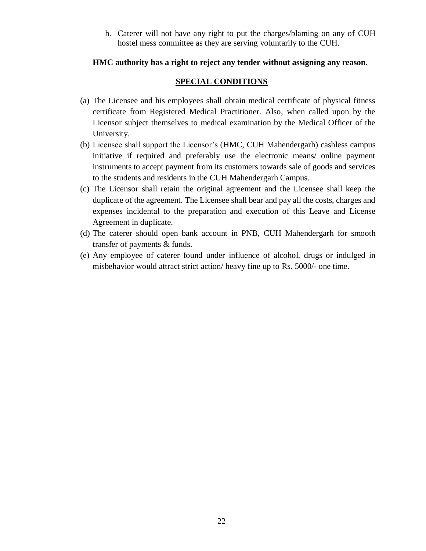h. Caterer will not have any right to put the charges/blaming on any of CUH hostel mess committee as they are serving voluntarily to the CUH.

# **HMC authority has a right to reject any tender without assigning any reason.**

## **SPECIAL CONDITIONS**

- (a) The Licensee and his employees shall obtain medical certificate of physical fitness certificate from Registered Medical Practitioner. Also, when called upon by the Licensor subject themselves to medical examination by the Medical Officer of the University.
- (b) Licensee shall support the Licensor's (HMC, CUH Mahendergarh) cashless campus initiative if required and preferably use the electronic means/ online payment instruments to accept payment from its customers towards sale of goods and services to the students and residents in the CUH Mahendergarh Campus.
- (c) The Licensor shall retain the original agreement and the Licensee shall keep the duplicate of the agreement. The Licensee shall bear and pay all the costs, charges and expenses incidental to the preparation and execution of this Leave and License Agreement in duplicate.
- (d) The caterer should open bank account in PNB, CUH Mahendergarh for smooth transfer of payments & funds.
- (e) Any employee of caterer found under influence of alcohol, drugs or indulged in misbehavior would attract strict action/ heavy fine up to Rs. 5000/- one time.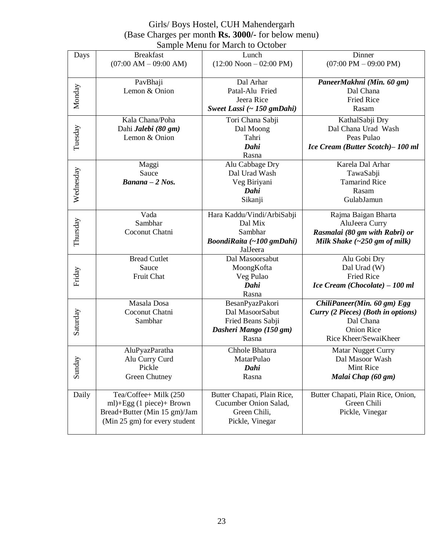# Girls/ Boys Hostel, CUH Mahendergarh (Base Charges per month **Rs. 3000/-** for below menu) Sample Menu for March to October

| Days      | <b>Breakfast</b>                        | Lunch                       | Dinner                                  |
|-----------|-----------------------------------------|-----------------------------|-----------------------------------------|
|           | $(07:00 \text{ AM} - 09:00 \text{ AM})$ | $(12:00$ Noon $- 02:00$ PM) | $(07:00 \text{ PM} - 09:00 \text{ PM})$ |
|           |                                         |                             |                                         |
|           |                                         |                             |                                         |
|           | PavBhaji                                | Dal Arhar                   | PaneerMakhni (Min. 60 gm)               |
| Monday    | Lemon & Onion                           | Patal-Alu Fried             | Dal Chana                               |
|           |                                         | Jeera Rice                  | <b>Fried Rice</b>                       |
|           |                                         | Sweet Lassi (~ 150 gmDahi)  | Rasam                                   |
|           | Kala Chana/Poha                         | Tori Chana Sabji            | KathalSabji Dry                         |
|           | Dahi Jalebi (80 gm)                     | Dal Moong                   | Dal Chana Urad Wash                     |
|           | Lemon & Onion                           | Tahri                       | Peas Pulao                              |
| Tuesday   |                                         | Dahi                        | Ice Cream (Butter Scotch)-100 ml        |
|           |                                         |                             |                                         |
|           |                                         | Rasna                       |                                         |
|           | Maggi                                   | Alu Cabbage Dry             | Karela Dal Arhar                        |
|           | Sauce                                   | Dal Urad Wash               | TawaSabji                               |
|           | $Banana - 2 Nos.$                       | Veg Biriyani                | <b>Tamarind Rice</b>                    |
| Wednesday |                                         | Dahi                        | Rasam                                   |
|           |                                         | Sikanji                     | GulabJamun                              |
|           |                                         |                             |                                         |
|           | Vada                                    | Hara Kaddu/Vindi/ArbiSabji  | Rajma Baigan Bharta                     |
| Thursday  | Sambhar                                 | Dal Mix                     | AluJeera Curry                          |
|           | Coconut Chatni                          | Sambhar                     | Rasmalai (80 gm with Rabri) or          |
|           |                                         | BoondiRaita (~100 gmDahi)   | Milk Shake $(-250 \text{ gm of milk})$  |
|           |                                         | JalJeera                    |                                         |
|           | <b>Bread Cutlet</b>                     | Dal Masoorsabut             | Alu Gobi Dry                            |
|           | Sauce                                   | MoongKofta                  | Dal Urad (W)                            |
|           | Fruit Chat                              | Veg Pulao                   | <b>Fried Rice</b>                       |
| Friday    |                                         | Dahi                        |                                         |
|           |                                         |                             | Ice Cream (Chocolate) - 100 ml          |
|           |                                         | Rasna                       |                                         |
|           | Masala Dosa                             | BesanPyazPakori             | ChiliPaneer(Min. 60 gm) Egg             |
|           | Coconut Chatni                          | Dal MasoorSabut             | Curry (2 Pieces) (Both in options)      |
|           | Sambhar                                 | Fried Beans Sabji           | Dal Chana                               |
| Saturday  |                                         | Dasheri Mango (150 gm)      | <b>Onion Rice</b>                       |
|           |                                         | Rasna                       | Rice Kheer/SewaiKheer                   |
|           | AluPyazParatha                          | Chhole Bhatura              | Matar Nugget Curry                      |
|           | Alu Curry Curd                          | MatarPulao                  | Dal Masoor Wash                         |
|           | Pickle                                  | Dahi                        | Mint Rice                               |
| Sunda     |                                         |                             |                                         |
|           | Green Chutney                           | Rasna                       | Malai Chap (60 gm)                      |
|           |                                         |                             |                                         |
| Daily     | Tea/Coffee+ Milk (250                   | Butter Chapati, Plain Rice, | Butter Chapati, Plain Rice, Onion,      |
|           | ml)+ $Egg(1$ piece)+ Brown              | Cucumber Onion Salad,       | Green Chili                             |
|           | Bread+Butter (Min 15 gm)/Jam            | Green Chili,                | Pickle, Vinegar                         |
|           |                                         |                             |                                         |
|           | (Min 25 gm) for every student           | Pickle, Vinegar             |                                         |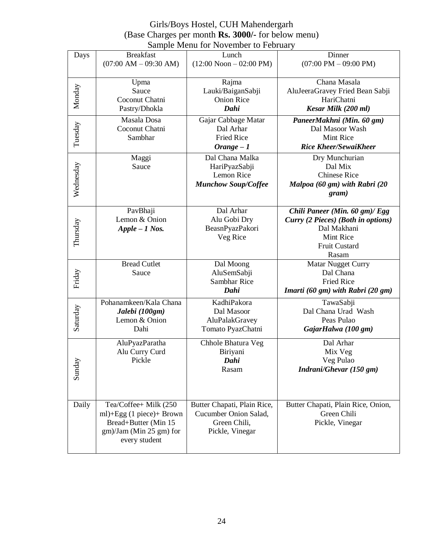# Girls/Boys Hostel, CUH Mahendergarh (Base Charges per month **Rs. 3000/-** for below menu) Sample Menu for November to February

|           | <b>Breakfast</b>                        | Lunch                       | Dinner                                  |
|-----------|-----------------------------------------|-----------------------------|-----------------------------------------|
| Days      |                                         |                             |                                         |
|           | $(07:00 \text{ AM} - 09:30 \text{ AM})$ | $(12:00$ Noon $-02:00$ PM)  | $(07:00 \text{ PM} - 09:00 \text{ PM})$ |
|           |                                         |                             |                                         |
|           | Upma                                    | Rajma                       | Chana Masala                            |
| Monday    | Sauce                                   | Lauki/BaiganSabji           | AluJeeraGravey Fried Bean Sabji         |
|           |                                         |                             |                                         |
|           | Coconut Chatni                          | <b>Onion Rice</b>           | HariChatni                              |
|           | Pastry/Dhokla                           | Dahi                        | Kesar Milk (200 ml)                     |
|           | Masala Dosa                             | Gajar Cabbage Matar         | PaneerMakhni (Min. 60 gm)               |
| Tuesday   | Coconut Chatni                          | Dal Arhar                   | Dal Masoor Wash                         |
|           |                                         |                             |                                         |
|           | Sambhar                                 | <b>Fried Rice</b>           | Mint Rice                               |
|           |                                         | $Orange-1$                  | <b>Rice Kheer/SewaiKheer</b>            |
|           | Maggi                                   | Dal Chana Malka             | Dry Munchurian                          |
|           | Sauce                                   | HariPyazSabji               | Dal Mix                                 |
|           |                                         | Lemon Rice                  | <b>Chinese Rice</b>                     |
|           |                                         |                             |                                         |
| Wednesday |                                         | <b>Munchow Soup/Coffee</b>  | Malpoa (60 gm) with Rabri (20           |
|           |                                         |                             | gram)                                   |
|           |                                         |                             |                                         |
|           | PavBhaji                                | Dal Arhar                   | Chili Paneer (Min. 60 gm)/ Egg          |
|           | Lemon & Onion                           | Alu Gobi Dry                | Curry (2 Pieces) (Both in options)      |
| Thursday  | $Apple - 1$ Nos.                        | BeasnPyazPakori             | Dal Makhani                             |
|           |                                         |                             |                                         |
|           |                                         | Veg Rice                    | Mint Rice                               |
|           |                                         |                             | <b>Fruit Custard</b>                    |
|           |                                         |                             | Rasam                                   |
|           | <b>Bread Cutlet</b>                     | Dal Moong                   | Matar Nugget Curry                      |
| Friday    | Sauce                                   | AluSemSabji                 | Dal Chana                               |
|           |                                         | <b>Sambhar Rice</b>         | <b>Fried Rice</b>                       |
|           |                                         |                             |                                         |
|           |                                         | Dahi                        | Imarti (60 gm) with Rabri (20 gm)       |
|           | Pohanamkeen/Kala Chana                  | KadhiPakora                 | TawaSabji                               |
| Saturday  | Jalebi (100gm)                          | Dal Masoor                  | Dal Chana Urad Wash                     |
|           | Lemon & Onion                           | AluPalakGravey              | Peas Pulao                              |
|           |                                         |                             |                                         |
|           | Dahi                                    | Tomato PyazChatni           | GajarHalwa (100 gm)                     |
|           | AluPyazParatha                          | Chhole Bhatura Veg          | Dal Arhar                               |
|           | Alu Curry Curd                          | Biriyani                    | Mix Veg                                 |
|           |                                         |                             |                                         |
|           | Pickle                                  | Dahi                        | Veg Pulao                               |
| Sunday    |                                         | Rasam                       | Indrani/Ghevar (150 gm)                 |
|           |                                         |                             |                                         |
|           |                                         |                             |                                         |
|           |                                         |                             |                                         |
| Daily     | Tea/Coffee+ Milk (250                   | Butter Chapati, Plain Rice, | Butter Chapati, Plain Rice, Onion,      |
|           |                                         |                             | Green Chili                             |
|           | ml)+Egg (1 piece)+ Brown                | Cucumber Onion Salad,       |                                         |
|           | Bread+Butter (Min 15                    | Green Chili,                | Pickle, Vinegar                         |
|           | gm)/Jam (Min 25 gm) for                 | Pickle, Vinegar             |                                         |
|           | every student                           |                             |                                         |
|           |                                         |                             |                                         |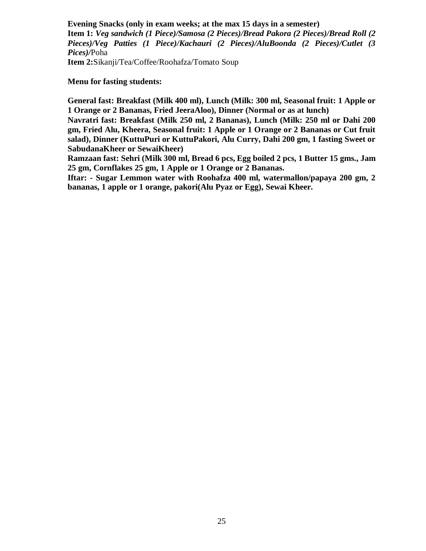**Evening Snacks (only in exam weeks; at the max 15 days in a semester) Item 1:** *Veg sandwich (1 Piece)/Samosa (2 Pieces)/Bread Pakora (2 Pieces)/Bread Roll (2 Pieces)/Veg Patties (1 Piece)/Kachauri (2 Pieces)/AluBoonda (2 Pieces)/Cutlet (3 Pices)/*Poha **Item 2:**Sikanji/Tea/Coffee/Roohafza/Tomato Soup

**Menu for fasting students:**

**General fast: Breakfast (Milk 400 ml), Lunch (Milk: 300 ml, Seasonal fruit: 1 Apple or 1 Orange or 2 Bananas, Fried JeeraAloo), Dinner (Normal or as at lunch)**

**Navratri fast: Breakfast (Milk 250 ml, 2 Bananas), Lunch (Milk: 250 ml or Dahi 200 gm, Fried Alu, Kheera, Seasonal fruit: 1 Apple or 1 Orange or 2 Bananas or Cut fruit salad), Dinner (KuttuPuri or KuttuPakori, Alu Curry, Dahi 200 gm, 1 fasting Sweet or SabudanaKheer or SewaiKheer)**

**Ramzaan fast: Sehri (Milk 300 ml, Bread 6 pcs, Egg boiled 2 pcs, 1 Butter 15 gms., Jam 25 gm, Cornflakes 25 gm, 1 Apple or 1 Orange or 2 Bananas.**

**Iftar: - Sugar Lemmon water with Roohafza 400 ml, watermallon/papaya 200 gm, 2 bananas, 1 apple or 1 orange, pakori(Alu Pyaz or Egg), Sewai Kheer.**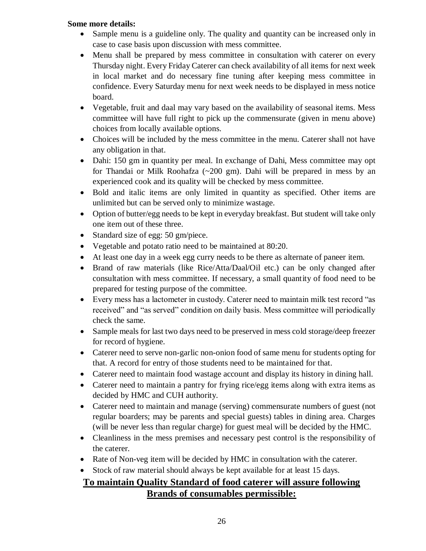# **Some more details:**

- Sample menu is a guideline only. The quality and quantity can be increased only in case to case basis upon discussion with mess committee.
- Menu shall be prepared by mess committee in consultation with caterer on every Thursday night. Every Friday Caterer can check availability of all items for next week in local market and do necessary fine tuning after keeping mess committee in confidence. Every Saturday menu for next week needs to be displayed in mess notice board.
- Vegetable, fruit and daal may vary based on the availability of seasonal items. Mess committee will have full right to pick up the commensurate (given in menu above) choices from locally available options.
- Choices will be included by the mess committee in the menu. Caterer shall not have any obligation in that.
- Dahi: 150 gm in quantity per meal. In exchange of Dahi, Mess committee may opt for Thandai or Milk Roohafza (~200 gm). Dahi will be prepared in mess by an experienced cook and its quality will be checked by mess committee.
- Bold and italic items are only limited in quantity as specified. Other items are unlimited but can be served only to minimize wastage.
- Option of butter/egg needs to be kept in everyday breakfast. But student will take only one item out of these three.
- Standard size of egg: 50 gm/piece.
- Vegetable and potato ratio need to be maintained at 80:20.
- At least one day in a week egg curry needs to be there as alternate of paneer item.
- Brand of raw materials (like Rice/Atta/Daal/Oil etc.) can be only changed after consultation with mess committee. If necessary, a small quantity of food need to be prepared for testing purpose of the committee.
- Every mess has a lactometer in custody. Caterer need to maintain milk test record "as received" and "as served" condition on daily basis. Mess committee will periodically check the same.
- Sample meals for last two days need to be preserved in mess cold storage/deep freezer for record of hygiene.
- Caterer need to serve non-garlic non-onion food of same menu for students opting for that. A record for entry of those students need to be maintained for that.
- Caterer need to maintain food wastage account and display its history in dining hall.
- Caterer need to maintain a pantry for frying rice/egg items along with extra items as decided by HMC and CUH authority.
- Caterer need to maintain and manage (serving) commensurate numbers of guest (not regular boarders; may be parents and special guests) tables in dining area. Charges (will be never less than regular charge) for guest meal will be decided by the HMC.
- Cleanliness in the mess premises and necessary pest control is the responsibility of the caterer.
- Rate of Non-veg item will be decided by HMC in consultation with the caterer.
- Stock of raw material should always be kept available for at least 15 days.

# **To maintain Quality Standard of food caterer will assure following Brands of consumables permissible:**